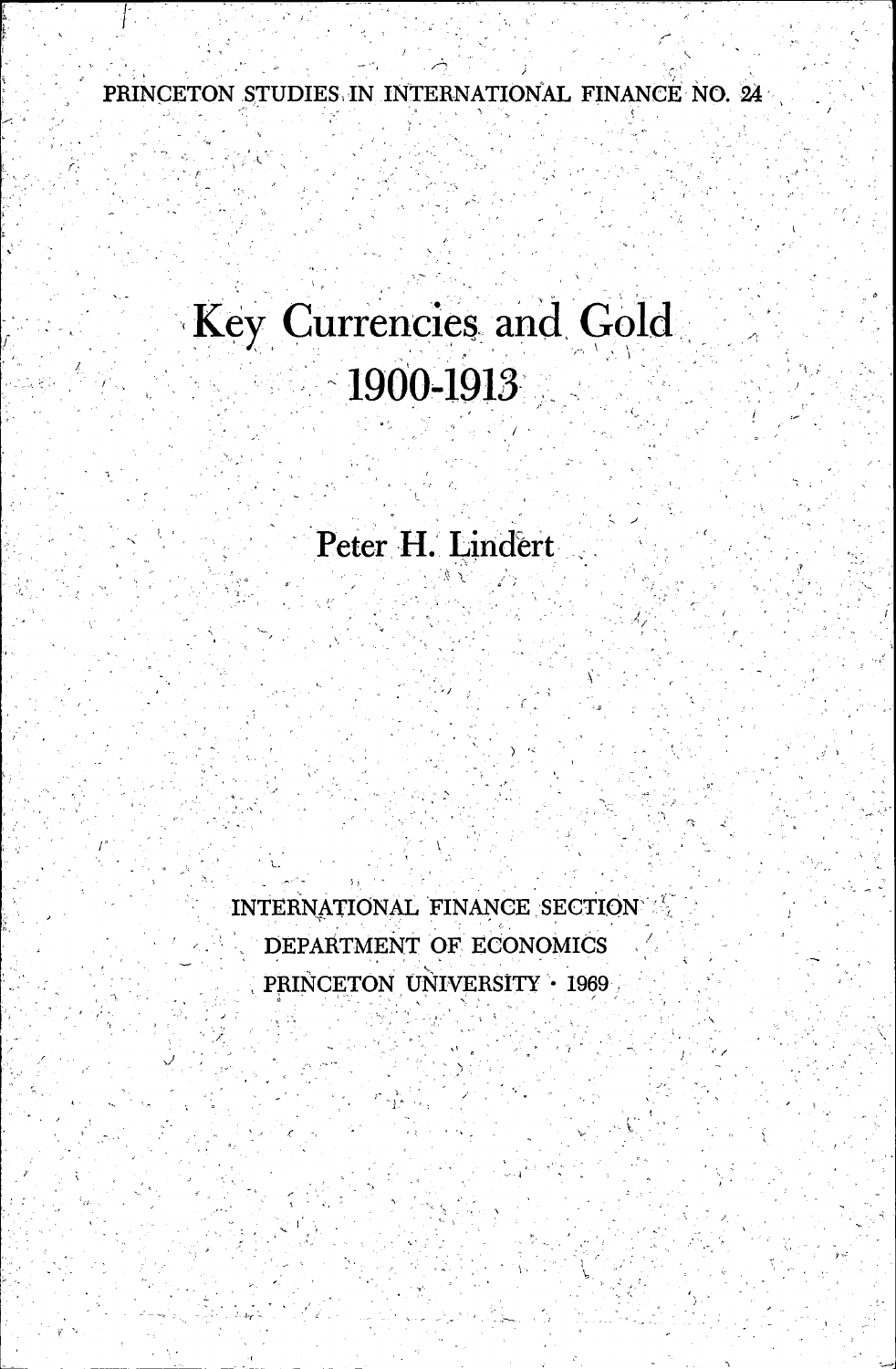PRINCETON STUDIES IN INTERNATIONAL FINANCE NO. 24

# Key Currencies and Gold  $\sim$ 1900-1913

Peter H. Lindert

 $\tilde{\gamma}$ 

INTERNATIONAL FINANCE SECTION' DEPARTMENT OF ECONOMICS PRINCETON UNIVERSITY • 1969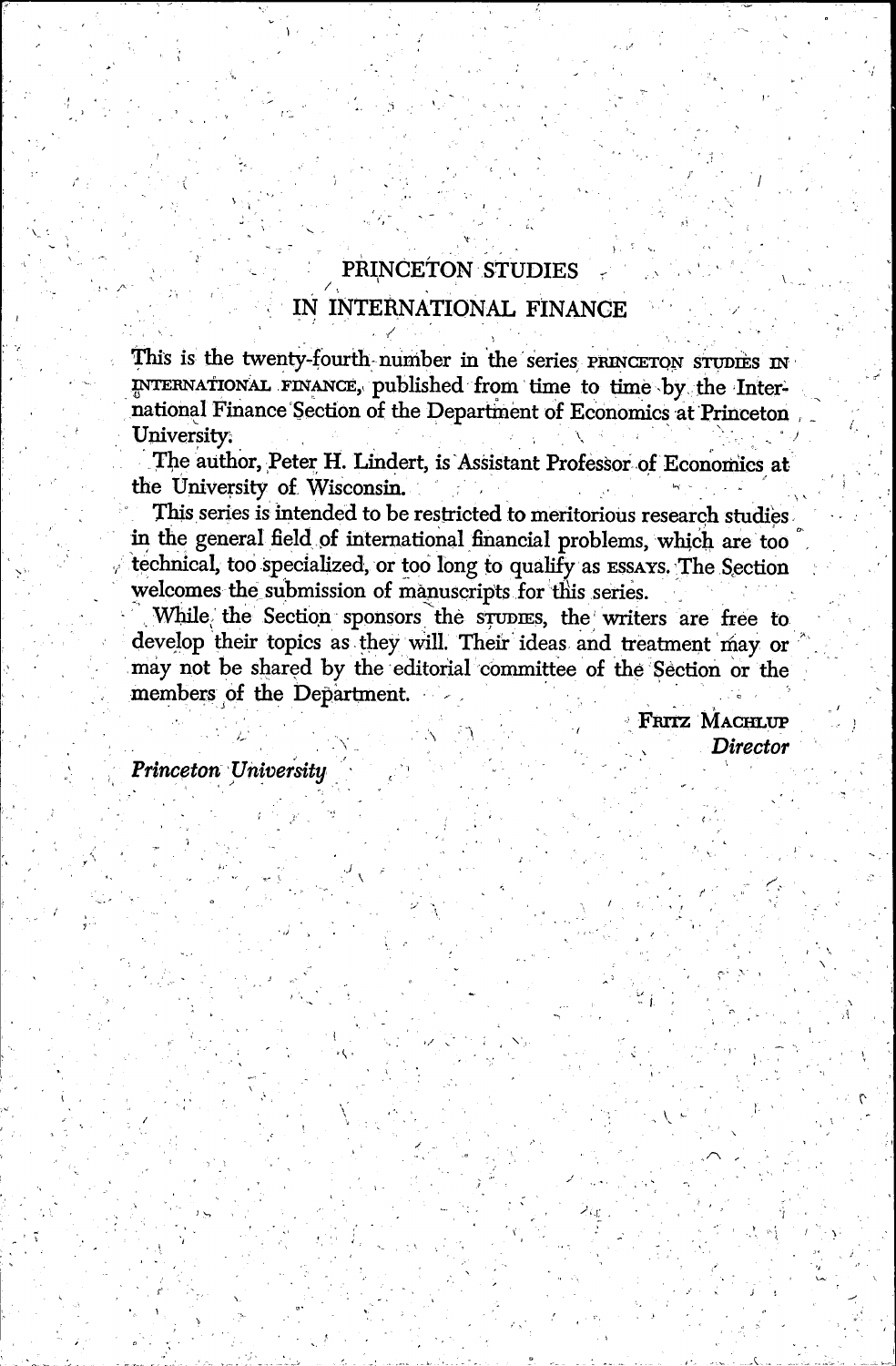# PRINCETON STUDIES

## IN INTERNATIONAL FINANCE

This is the twenty-fourth-number in the series PRINCETON STUDIES IN INTERNATIONAL FINANCE,, published from time to time :by the International Finance Section of the Department of Economics at Princeton University.

The author, Peter H. Lindert, is Assistant Professor of Economics at the University of Wisconsin.

This series is intended to be restricted to meritorious research studies in the general field of international financial problems, which are too technical, too specialized, or too long to qualify as ESSAYS. The Section . welcomes the submission of manuscripts for this series.

While, the Section sponsors the srupnes, the writers are free to develop their topics as they will. Their ideas and treatment may or may not be shared by the editorial committee of the Section or the members of the Department.

> FRITZ MACHLUP Director

Princeton University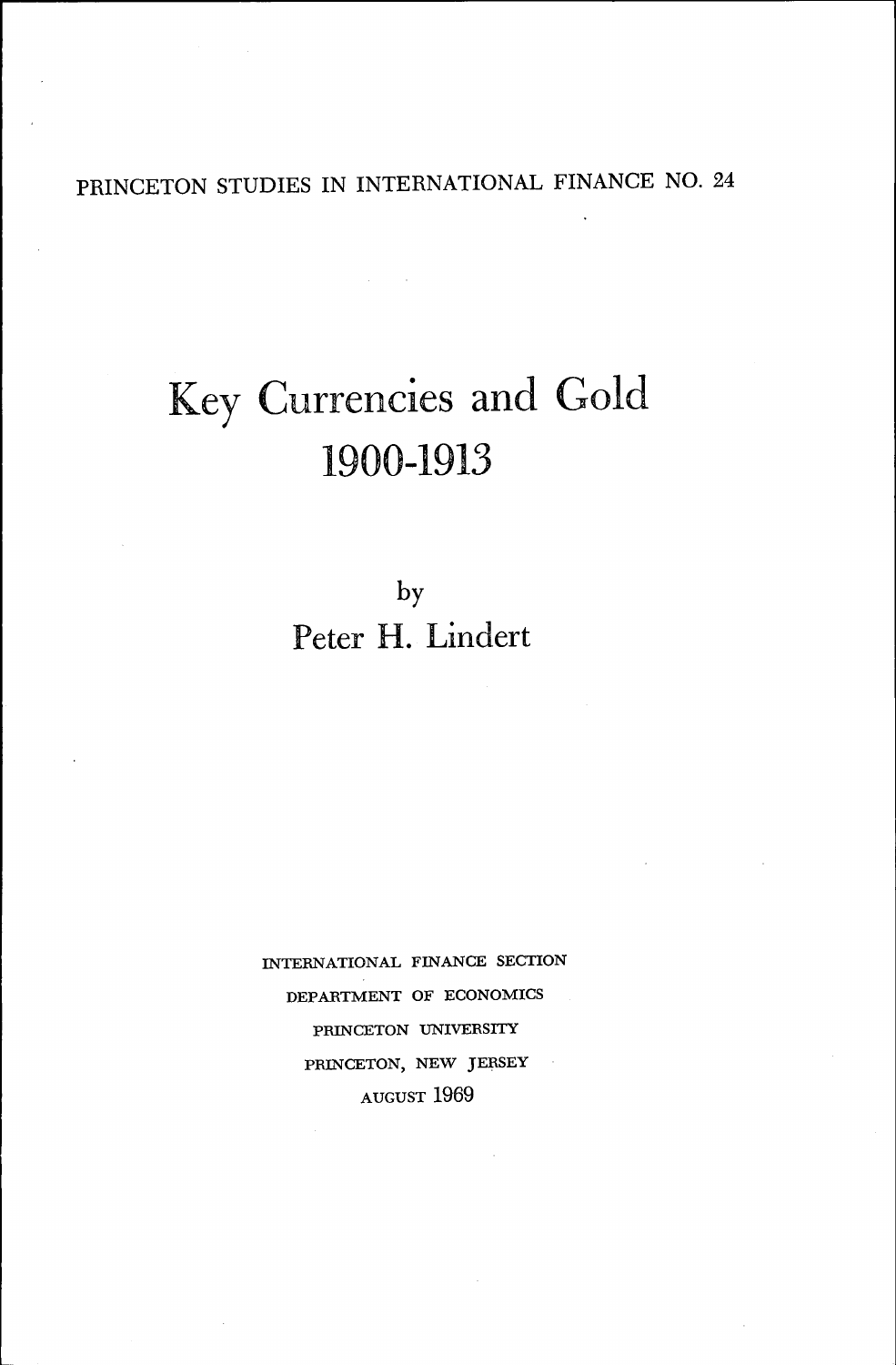PRINCETON STUDIES IN INTERNATIONAL FINANCE NO. <sup>24</sup>

# Key Currencies and Gold 1900-1913

by Peter H. Lindert

INTERNATIONAL FINANCE SECTION DEPARTMENT OF ECONOMICS PRINCETON UNIVERSITY PRINCETON, NEW JERSEY AUGUST 1969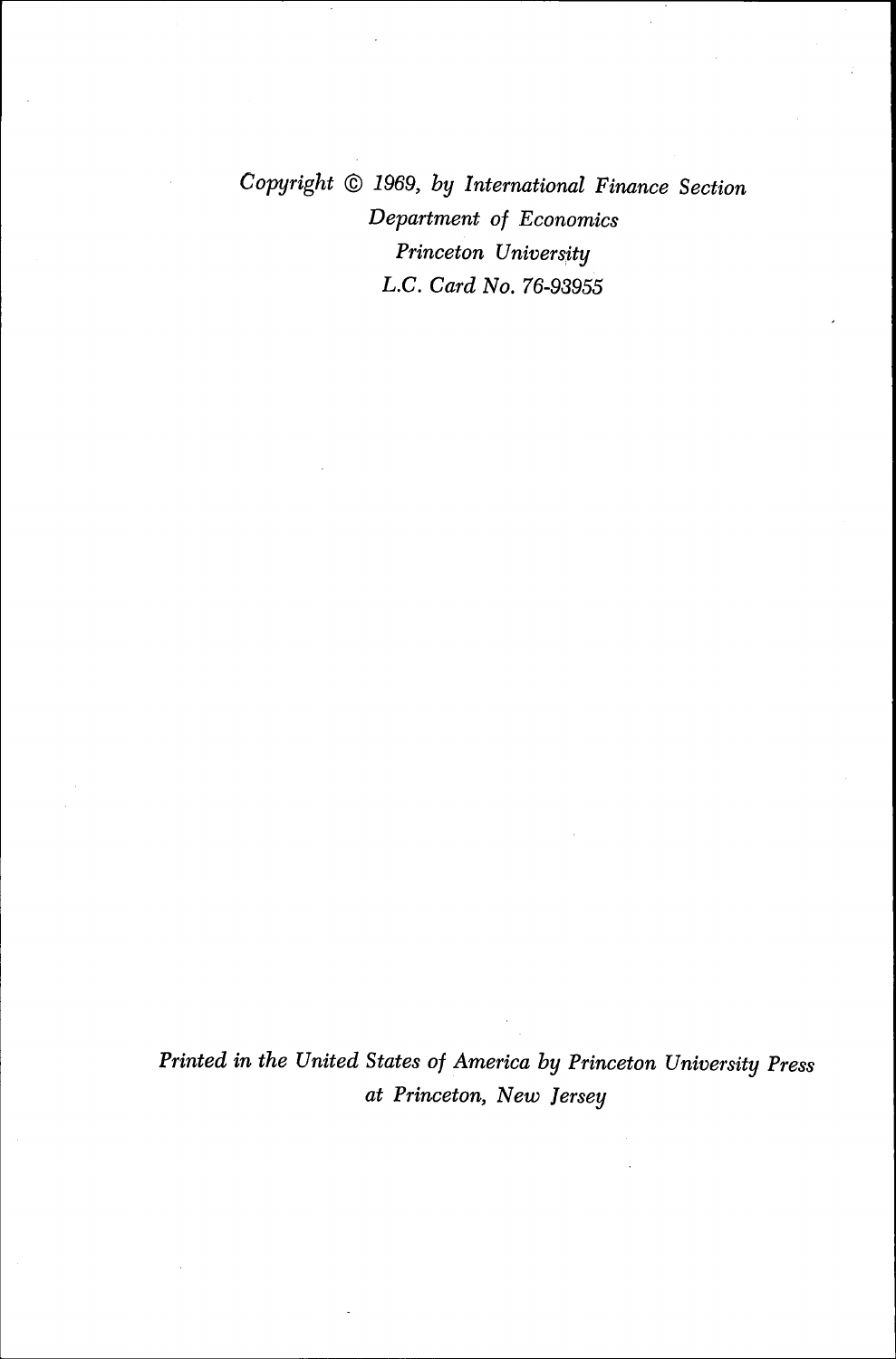Copyright © 1969, by International Finance Section Department of Economics Princeton University L.C. Card No. 76-93955

Printed in the United States of America by Princeton University Press at Princeton, New Jersey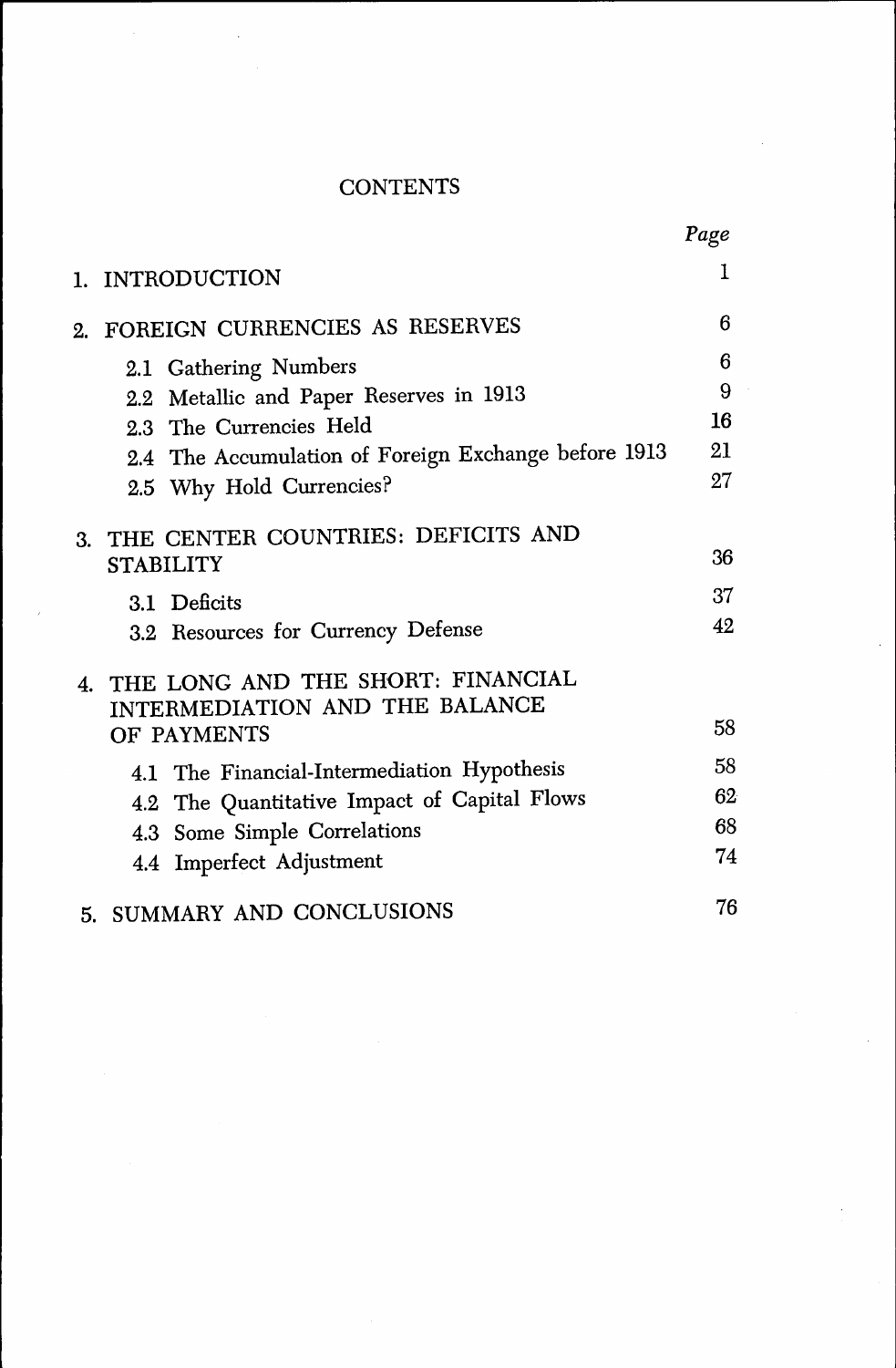# **CONTENTS**

|    |                                                                        | Page |
|----|------------------------------------------------------------------------|------|
|    | 1. INTRODUCTION                                                        | L    |
| 2. | FOREIGN CURRENCIES AS RESERVES                                         | 6    |
|    | 2.1 Gathering Numbers                                                  | 6    |
|    | 2.2 Metallic and Paper Reserves in 1913                                | 9    |
|    | 2.3 The Currencies Held                                                | 16   |
|    | 2.4 The Accumulation of Foreign Exchange before 1913                   | 21   |
|    | 2.5 Why Hold Currencies?                                               | 27   |
|    | 3. THE CENTER COUNTRIES: DEFICITS AND                                  |      |
|    | <b>STABILITY</b>                                                       | 36   |
|    | 3.1 Deficits                                                           | 37   |
|    | 3.2 Resources for Currency Defense                                     | 42   |
|    | 4. THE LONG AND THE SHORT: FINANCIAL<br>INTERMEDIATION AND THE BALANCE |      |
|    | OF PAYMENTS                                                            | 58   |
|    | 4.1 The Financial-Intermediation Hypothesis                            | 58   |
|    | 4.2 The Quantitative Impact of Capital Flows                           | 62   |
|    | 4.3 Some Simple Correlations                                           | 68   |
|    | 4.4 Imperfect Adjustment                                               | 74   |
|    | 5. SUMMARY AND CONCLUSIONS                                             | 76   |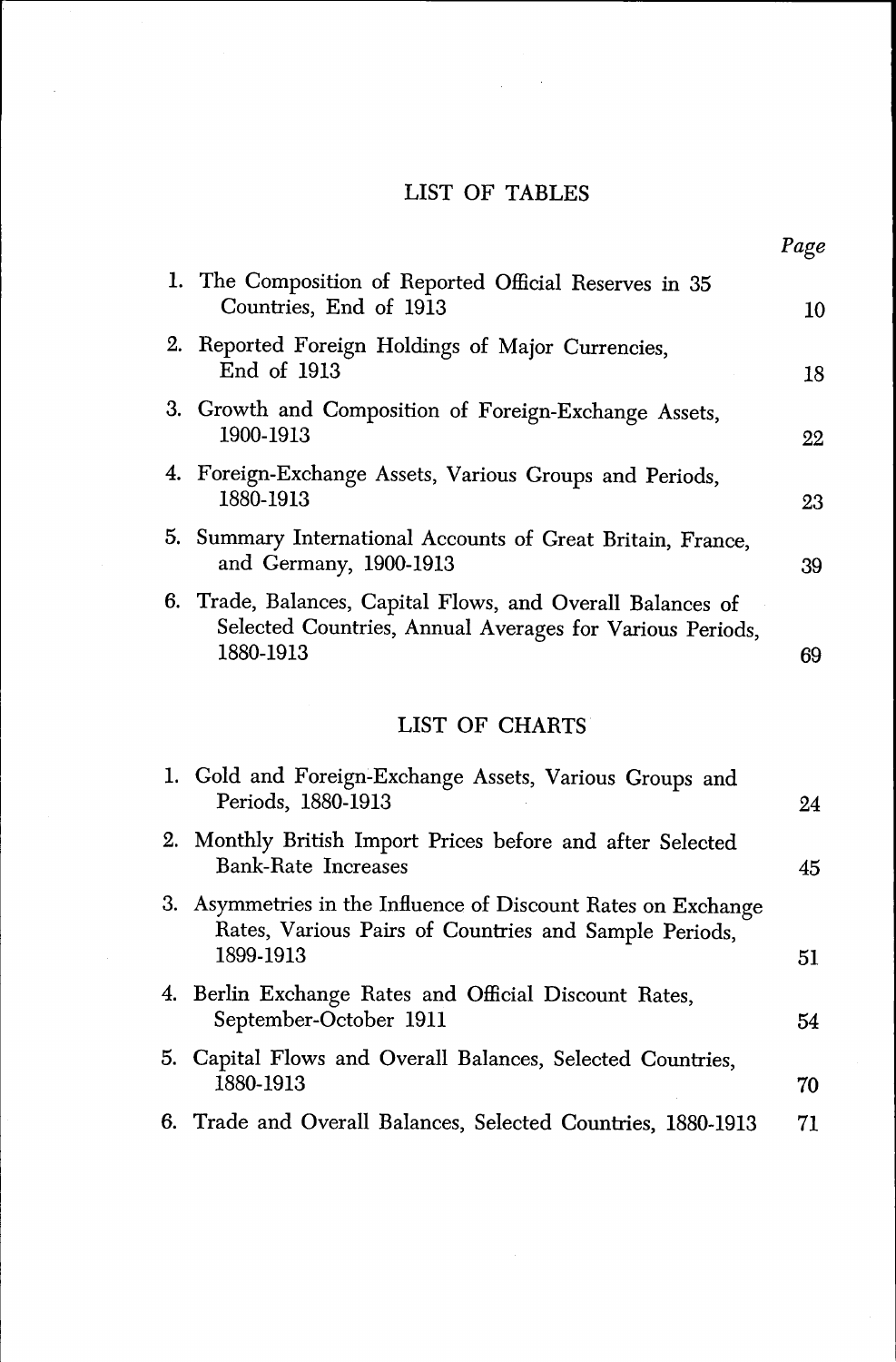### LIST OF TABLES

Page

| 1. The Composition of Reported Official Reserves in 35<br>Countries, End of 1913                                                    | 10 |
|-------------------------------------------------------------------------------------------------------------------------------------|----|
| 2. Reported Foreign Holdings of Major Currencies,<br>End of 1913                                                                    | 18 |
| 3. Growth and Composition of Foreign-Exchange Assets,<br>1900-1913                                                                  | 22 |
| 4. Foreign-Exchange Assets, Various Groups and Periods,<br>1880-1913                                                                | 23 |
| 5. Summary International Accounts of Great Britain, France,<br>and Germany, 1900-1913                                               | 39 |
| 6. Trade, Balances, Capital Flows, and Overall Balances of<br>Selected Countries, Annual Averages for Various Periods,<br>1880-1913 | 69 |
| LIST OF CHARTS                                                                                                                      |    |
| 1. Gold and Foreign-Exchange Assets, Various Groups and<br>Periods, 1880-1913                                                       | 24 |
| 2. Monthly British Import Prices before and after Selected<br><b>Bank-Rate Increases</b>                                            | 45 |
| 3. Asymmetries in the Influence of Discount Rates on Exchange<br>Rates, Various Pairs of Countries and Sample Periods,              |    |
| 1899-1913                                                                                                                           | 51 |

- 4. Berlin Exchange Rates and Official Discount Rates, September-October 1911 54
- 5. Capital Flows and Overall Balances, Selected Countries, 1880-1913 70
- 6. Trade and Overall Balances, Selected Countries, 1880-1913 71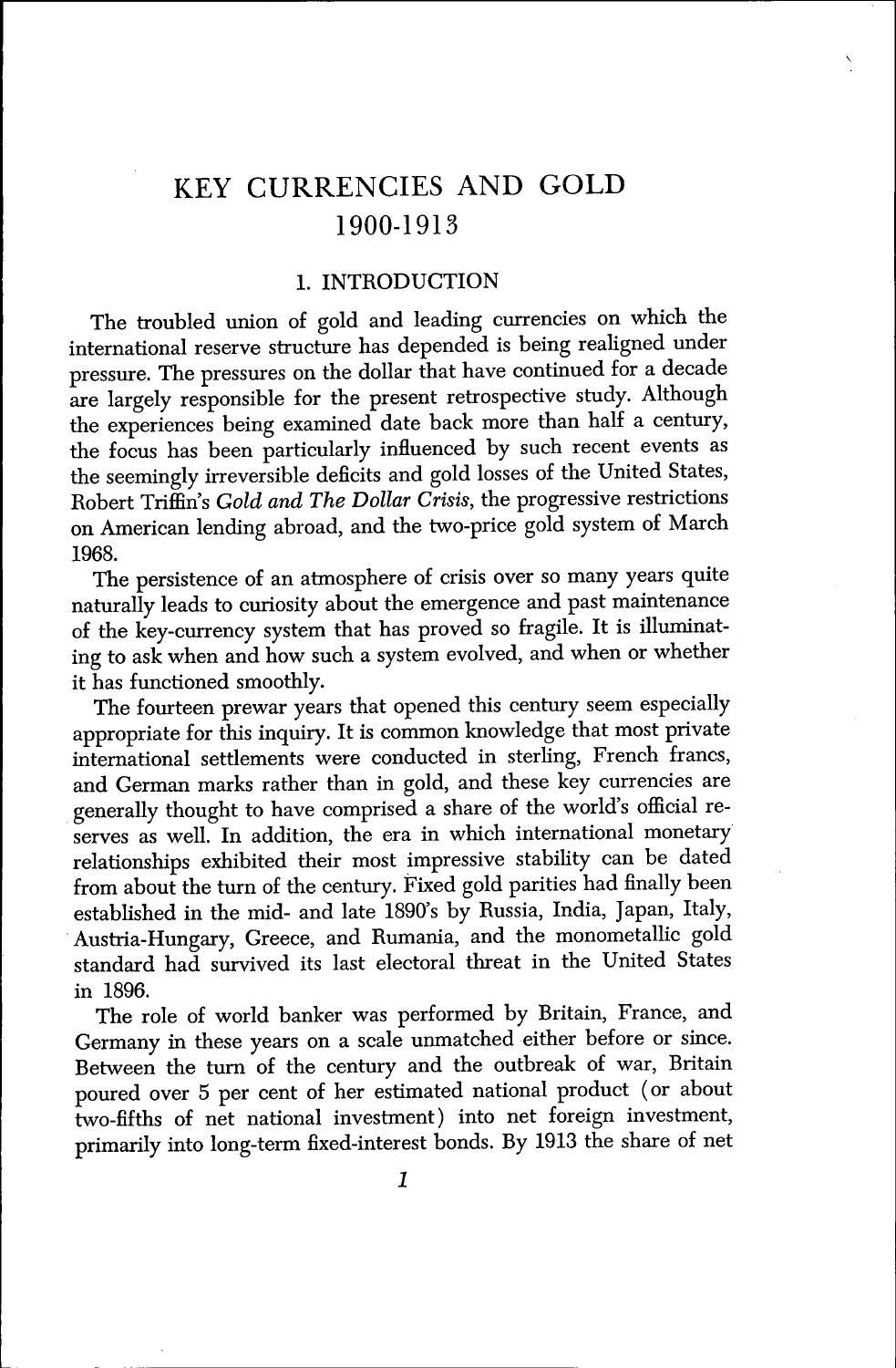# KEY CURRENCIES AND GOLD 1900-1913

#### 1. INTRODUCTION

The troubled union of gold and leading currencies on which the international reserve structure has depended is being realigned under pressure. The pressures on the dollar that have continued for a decade are largely responsible for the present retrospective study. Although the experiences being examined date back more than half a century, the focus has been particularly influenced by such recent events as the seemingly irreversible deficits and gold losses of the United States, Robert Triffin's Gold and The Dollar Crisis, the progressive restrictions on American lending abroad, and the two-price gold system of March 1968.

The persistence of an atmosphere of crisis over so many years quite naturally leads to curiosity about the emergence and past maintenance of the key-currency system that has proved so fragile. It is illuminating to ask when and how such a system evolved, and when or whether it has functioned smoothly.

The fourteen prewar years that opened this century seem especially appropriate for this inquiry. It is common knowledge that most private international settlements were conducted in sterling, French francs, and German marks rather than in gold, and these key currencies are generally thought to have comprised a share of the world's official reserves as well. In addition, the era in which international monetary relationships exhibited their most impressive stability can be dated from about the turn of the century. Fixed gold parities had finally been established in the mid- and late 1890's by Russia, India, Japan, Italy, • Austria-Hungary, Greece, and Rumania, and the monometallic gold standard had survived its last electoral threat in the United States in 1896.

The role of world banker was performed by Britain, France, and Germany in these years on a scale unmatched either before or since. Between the turn of the century and the outbreak of war, Britain poured over 5 per cent of her estimated national product ( or about two-fifths of net national investment) into net foreign investment, primarily into long-term fixed-interest bonds. By 1913 the share of net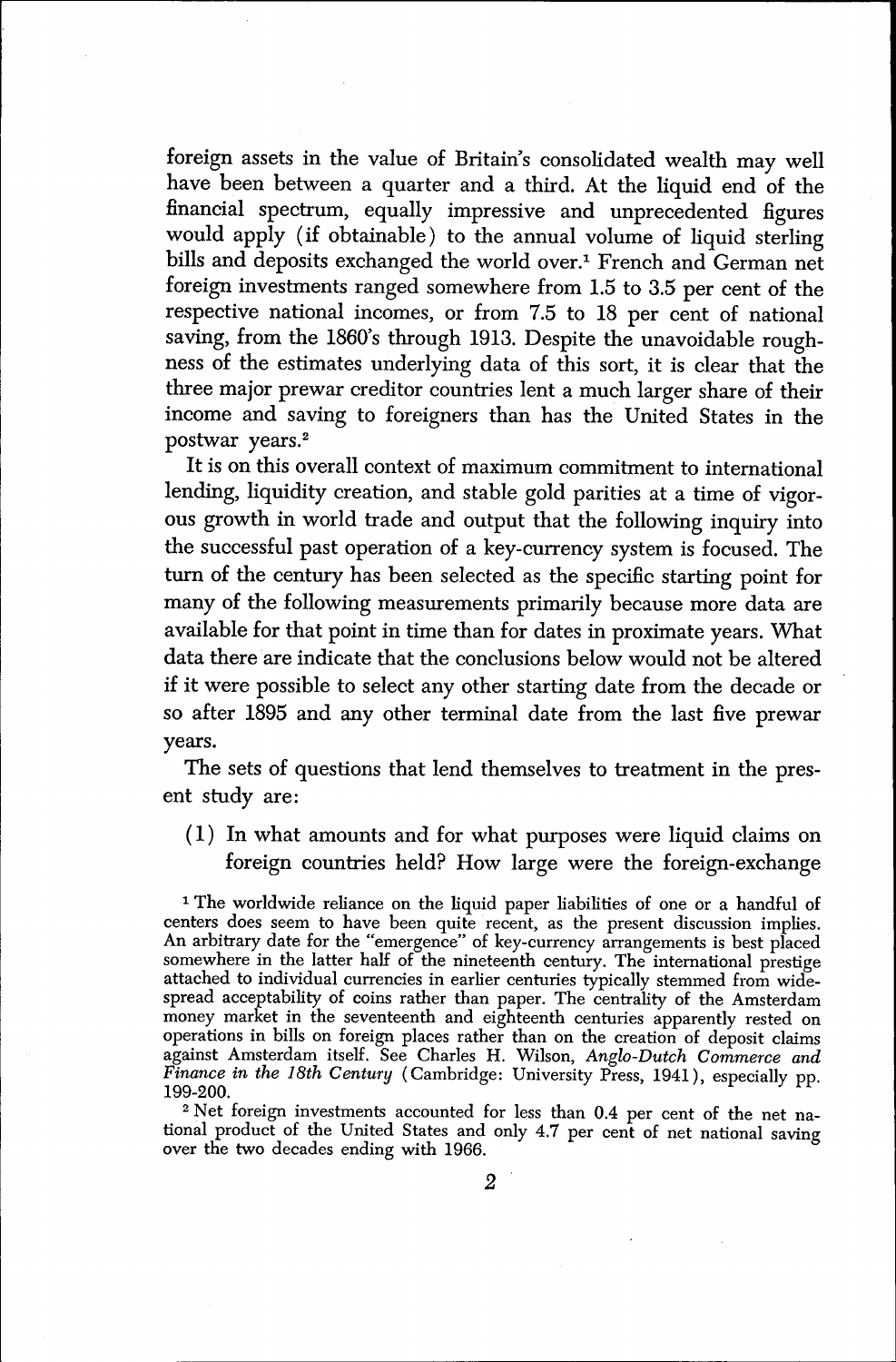foreign assets in the value of Britain's consolidated wealth may well have been between a quarter and a third. At the liquid end of the financial spectrum, equally impressive and unprecedented figures would apply (if obtainable) to the annual volume of liquid sterling bills and deposits exchanged the world over.' French and German net foreign investments ranged somewhere from 1.5 to 3.5 per cent of the respective national incomes, or from 7.5 to 18 per cent of national saving, from the 1860's through 1913. Despite the unavoidable roughness of the estimates underlying data of this sort, it is clear that the three major prewar creditor countries lent a much larger share of their income and saving to foreigners than has the United States in the postwar years.2

It is on this overall context of maximum commitment to international lending, liquidity creation, and stable gold parities at a time of vigorous growth in world trade and output that the following inquiry into the successful past operation of a key-currency system is focused. The turn of the century has been selected as the specific starting point for many of the following measurements primarily because more data are available for that point in time than for dates in proximate years. What data there are indicate that the conclusions below would not be altered if it were possible to select any other starting date from the decade or so after 1895 and any other terminal date from the last five prewar years.

The sets of questions that lend themselves to treatment in the present study are:

(1) In what amounts and for what purposes were liquid claims on foreign countries held? How large were the foreign-exchange

<sup>1</sup> The worldwide reliance on the liquid paper liabilities of one or a handful of centers does seem to have been quite recent, as the present discussion implies. An arbitrary date for the "emergence" of key-currency arrangements is best placed somewhere in the latter half of the nineteenth century. The international prestige attached to individual currencies in earlier centuries typically stemmed from widespread acceptability of coins rather than paper. The centrality of the Amsterdam money market in the seventeenth and eighteenth centuries apparently rested on operations in bills on foreign places rather than on the creation of deposit claims against Amsterdam itself. See Charles H. Wilson, Anglo-Dutch Commerce and Finance in the 18th Century (Cambridge: University Press, 1941), especially pp. 199-200.

<sup>2</sup> Net foreign investments accounted for less than 0.4 per cent of the net national product of the United States and only 4.7 per cent of net national saving over the two decades ending with 1966.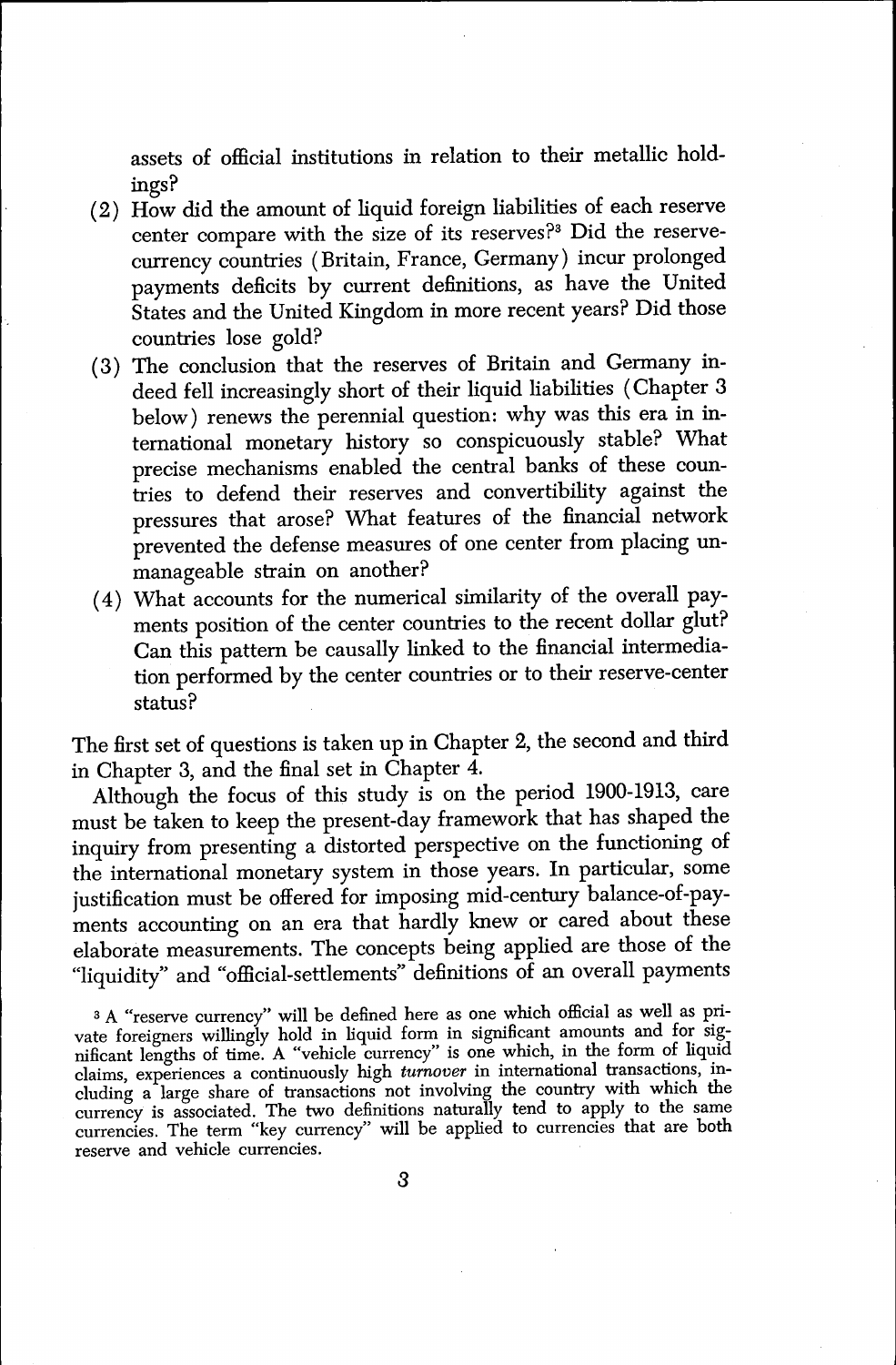assets of official institutions in relation to their metallic holdings?

- (2) How did the amount of liquid foreign liabilities of each reserve center compare with the size of its reserves?<sup>3</sup> Did the reservecurrency countries (Britain, France, Germany) incur prolonged payments deficits by current definitions, as have the United States and the United Kingdom in more recent years? Did those countries lose gold?
- (3) The conclusion that the reserves of Britain and Germany indeed fell increasingly short of their liquid liabilities (Chapter <sup>3</sup> below) renews the perennial question: why was this era in international monetary history so conspicuously stable? What precise mechanisms enabled the central banks of these countries to defend their reserves and convertibility against the pressures that arose? What features of the financial network prevented the defense measures of one center from placing unmanageable strain on another?
- (4) What accounts for the numerical similarity of the overall payments position of the center countries to the recent dollar glut? Can this pattern be causally linked to the financial intermediation performed by the center countries or to their reserve-center status?

The first set of questions is taken up in Chapter 2, the second and third in Chapter 3, and the final set in Chapter 4.

Although the focus of this study is on the period 1900-1913, care must be taken to keep the present-day framework that has shaped the inquiry from presenting a distorted perspective on the functioning of the international monetary system in those years. In particular, some justification must be offered for imposing mid-century balance-of-payments accounting on an era that hardly knew or cared about these elaborate measurements. The concepts being applied are those of the "liquidity" and "official-settlements" definitions of an overall payments

<sup>3</sup> <sup>A</sup>"reserve currency" will be defined here as one which official as well as private foreigners willingly hold in liquid form in significant amounts and for significant lengths of time. A "vehicle currency" is one which, in the form of liquid claims, experiences a continuously high turnover in international transactions, including a large share of transactions not involving the country with which the currency is associated. The two definitions naturally tend to apply to the same currencies. The term "key currency" will be applied to currencies that are both reserve and vehicle currencies.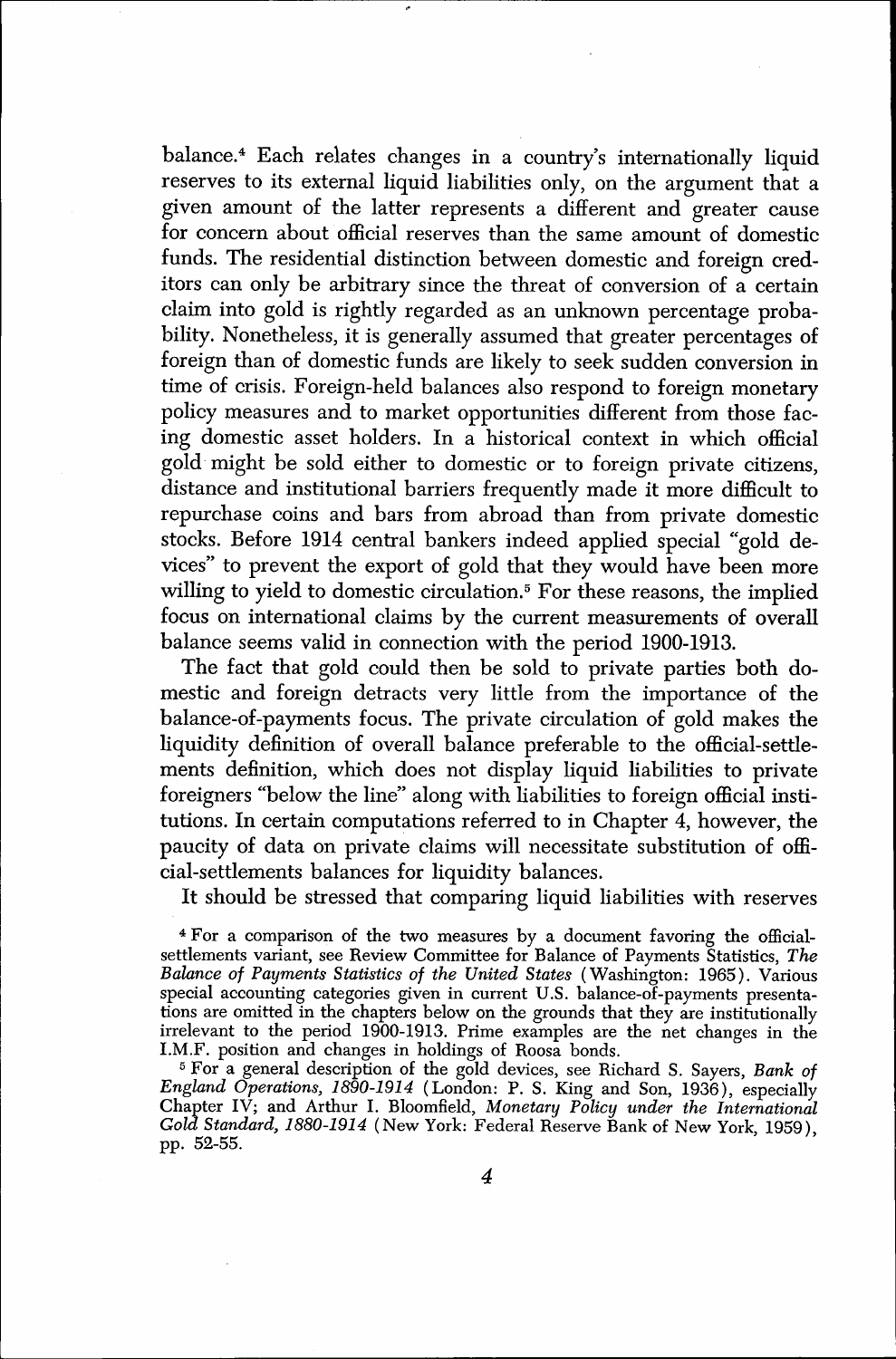balance.<sup>4</sup> Each relates changes in a country's internationally liquid reserves to its external liquid liabilities only, on the argument that a given amount of the latter represents a different and greater cause for concern about official reserves than the same amount of domestic funds. The residential distinction between domestic and foreign creditors can only be arbitrary since the threat of conversion of a certain claim into gold is rightly regarded as an unknown percentage probability. Nonetheless, it is generally assumed that greater percentages of foreign than of domestic funds are likely to seek sudden conversion in time of crisis. Foreign-held balances also respond to foreign monetary policy measures and to market opportunities different from those facing domestic asset holders. In a historical context in which official gold might be sold either to domestic or to foreign private citizens, distance and institutional barriers frequently made it more difficult to repurchase coins and bars from abroad than from private domestic stocks. Before 1914 central bankers indeed applied special "gold devices" to prevent the export of gold that they would have been more willing to yield to domestic circulation.<sup>5</sup> For these reasons, the implied focus on international claims by the current measurements of overall balance seems valid in connection with the period 1900-1913.

The fact that gold could then be sold to private parties both domestic and foreign detracts very little from the importance of the balance-of-payments focus. The private circulation of gold makes the liquidity definition of overall balance preferable to the official-settlements definition, which does not display liquid liabilities to private foreigners "below the line" along with liabilities to foreign official institutions. In certain computations referred to in Chapter 4, however, the paucity of data on private claims will necessitate substitution of official-settlements balances for liquidity balances.

It should be stressed that comparing liquid liabilities with reserves

4 For a comparison of the two measures by a document favoring the officialsettlements variant, see Review Committee for Balance of Payments Statistics, The Balance of Payments Statistics of the United States ( Washington: 1965). Various special accounting categories given in current U.S. balance-of-payments presentations are omitted in the chapters below on the grounds that they are institutionally irrelevant to the period 1900-1913. Prime examples are the net changes in the I.M.F. position and changes in holdings of Roosa bonds.

<sup>5</sup> For a general description of the gold devices, see Richard S. Sayers, Bank of England Operations, 1890-1914 (London: P. S. King and Son, 1936), especially Chapter IV; and Arthur I. Bloomfield, Monetary Policy under the International Gold Standard, 1880-1914 (New York: Federal Reserve Bank of New York, 1959), pp. 52-55.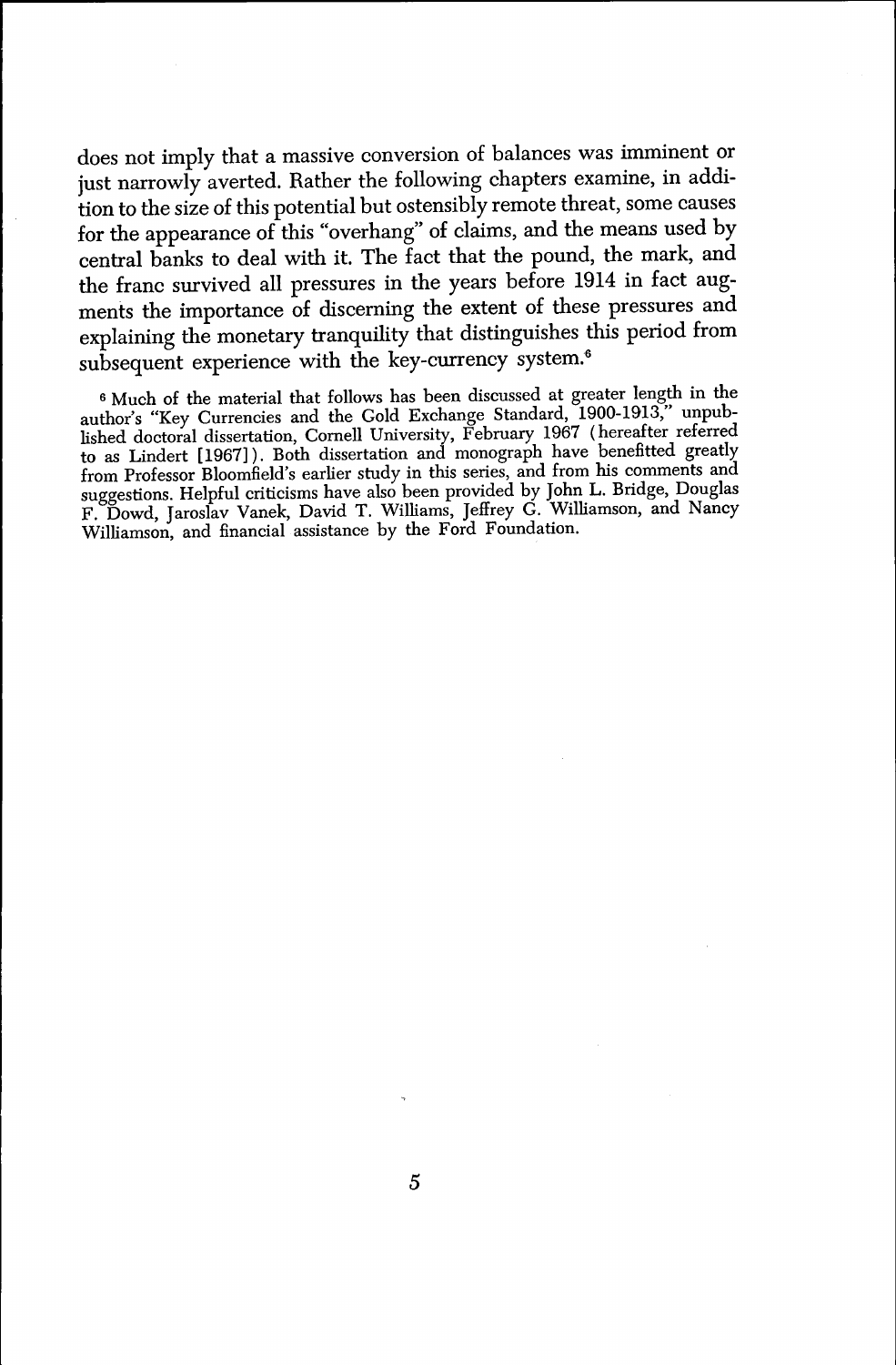does not imply that a massive conversion of balances was imminent or just narrowly averted. Rather the following chapters examine, in addition to the size of this potential but ostensibly remote threat, some causes for the appearance of this "overhang" of claims, and the means used by central banks to deal with it. The fact that the pound, the mark, and the franc survived all pressures in the years before 1914 in fact augments the importance of discerning the extent of these pressures and explaining the monetary tranquility that distinguishes this period from subsequent experience with the key-currency system.<sup>6</sup>

<sup>6</sup> Much of the material that follows has been discussed at greater length in the author's "Key Currencies and the Gold Exchange Standard, 1900-1913," unpublished doctoral dissertation, Cornell University, February 1967 ( hereafter referred to as Lindert [1967] ). Both dissertation and monograph have benefitted greatly from Professor Bloomfield's earlier study in this series, and from his comments and suggestions. Helpful criticisms have also been provided by John L. Bridge, Douglas F. Dowd, Jaroslav Vanek, David T. Williams, Jeffrey G. Williamson, and Nancy Williamson, and financial assistance by the Ford Foundation.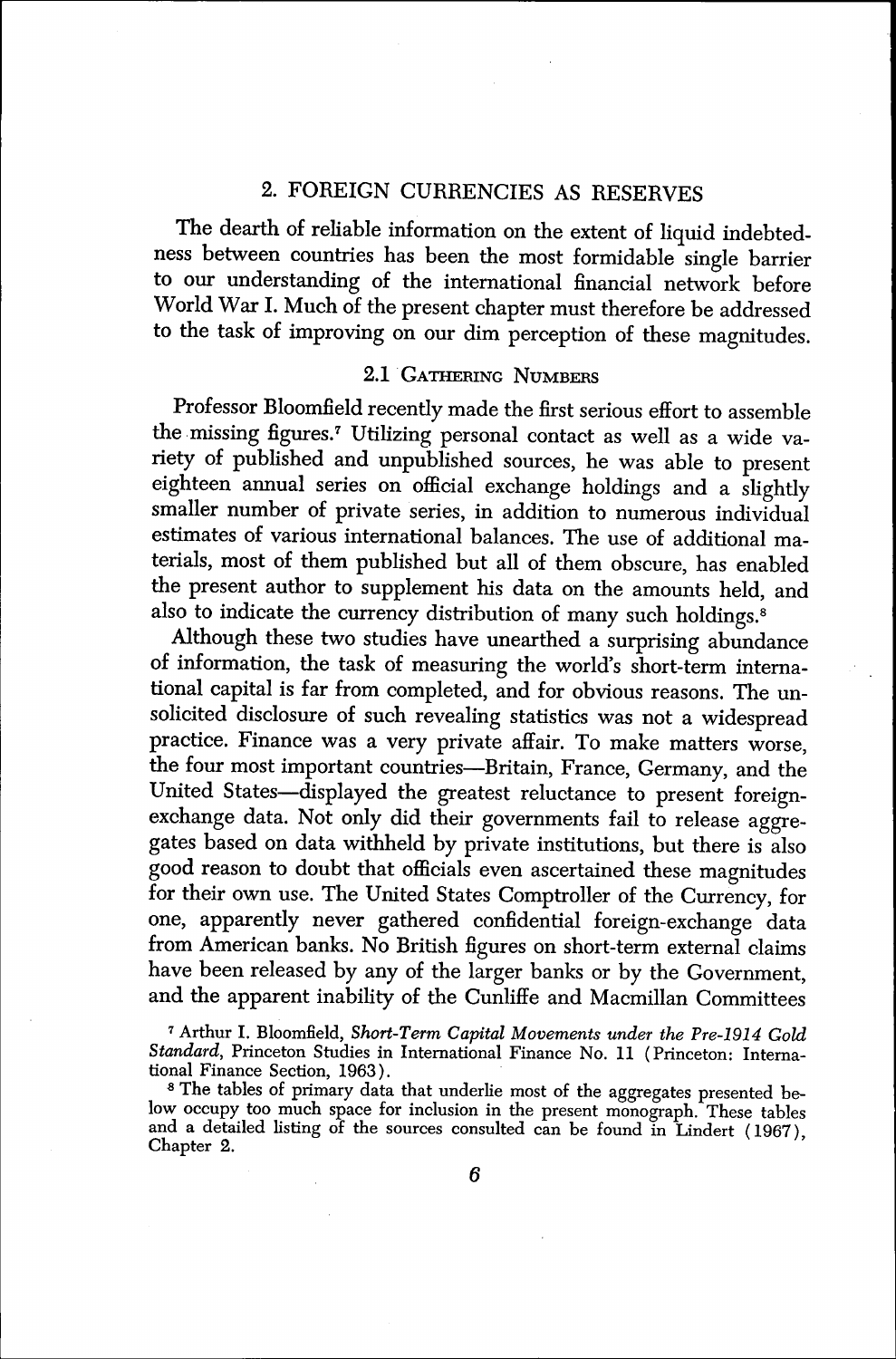#### 2. FOREIGN CURRENCIES AS RESERVES

The dearth of reliable information on the extent of liquid indebtedness between countries has been the most formidable single barrier to our understanding of the international financial network before World War I. Much of the present chapter must therefore be addressed to the task of improving on our dim perception of these magnitudes.

#### 2.1 GATHERING NUMBERS

Professor Bloomfield recently made the first serious effort to assemble the missing figures.<sup>7</sup> Utilizing personal contact as well as a wide variety of published and unpublished sources, he was able to present eighteen annual series on official exchange holdings and a slightly smaller number of private series, in addition to numerous individual estimates of various international balances. The use of additional materials, most of them published but all of them obscure, has enabled the present author to supplement his data on the amounts held, and also to indicate the currency distribution of many such holdings.<sup>8</sup>

Although these two studies have unearthed a surprising abundance of information, the task of measuring the world's short-term international capital is far from completed, and for obvious reasons. The unsolicited disclosure of such revealing statistics was not a widespread practice. Finance was a very private affair. To make matters worse, the four most important countries—Britain, France, Germany, and the United States—displayed the greatest reluctance to present foreignexchange data. Not only did their governments fail to release aggregates based on data withheld by private institutions, but there is also good reason to doubt that officials even ascertained these magnitudes for their own use. The United States Comptroller of the Currency, for one, apparently never gathered confidential foreign-exchange data from American banks. No British figures on short-term external claims have been released by any of the larger banks or by the Government, and the apparent inability of the Cunliffe and Macmillan Committees

<sup>7</sup> Arthur I. Bloomfield, Short-Term Capital Movements under the Pre-1914 Gold Standard, Princeton Studies in International Finance No. 11 (Princeton: International Finance Section, 1963).

<sup>8</sup>The tables of primary data that underlie most of the aggregates presented below occupy too much space for inclusion in the present monograph. These tables and a detailed listing of the sources consulted can be found in Lindert (1967), Chapter 2.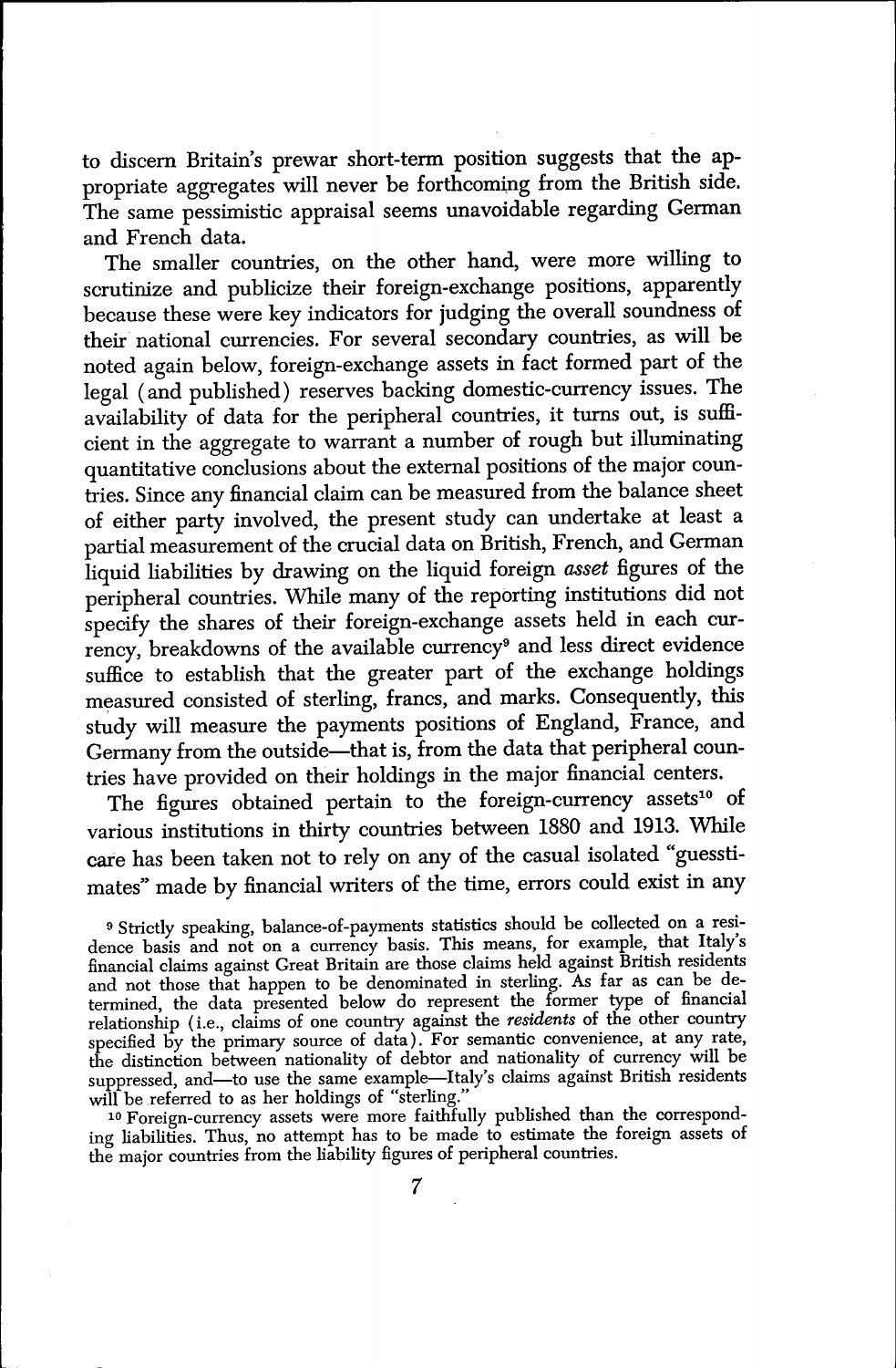to discern Britain's prewar short-term position suggests that the appropriate aggregates will never be forthcoming from the British side. The same pessimistic appraisal seems unavoidable regarding German and French data.

The smaller countries, on the other hand, were more willing to scrutinize and publicize their foreign-exchange positions, apparently because these were key indicators for judging the overall soundness of their national currencies. For several secondary countries, as will be noted again below, foreign-exchange assets in fact formed part of the legal ( and published) reserves backing domestic-currency issues. The availability of data for the peripheral countries, it turns out, is sufficient in the aggregate to warrant a number of rough but illuminating quantitative conclusions about the external positions of the major countries. Since any financial claim can be measured from the balance sheet of either party involved, the present study can undertake at least <sup>a</sup> partial measurement of the crucial data on British, French, and German liquid liabilities by drawing on the liquid foreign asset figures of the peripheral countries. While many of the reporting institutions did not specify the shares of their foreign-exchange assets held in each currency, breakdowns of the available currency<sup>9</sup> and less direct evidence suffice to establish that the greater part of the exchange holdings measured consisted of sterling, francs, and marks. Consequently, this study will measure the payments positions of England, France, and Germany from the outside—that is, from the data that peripheral countries have provided on their holdings in the major financial centers.

The figures obtained pertain to the foreign-currency assets<sup>10</sup> of various institutions in thirty countries between 1880 and 1913. While care has been taken not to rely on any of the casual isolated "guesstimates" made by financial writers of the time, errors could exist in any

<sup>9</sup> Strictly speaking, balance-of-payments statistics should be collected on a residence basis and not on a currency basis. This means, for example, that Italy's financial claims against Great Britain are those claims held against British residents and not those that happen to be denominated in sterling. As far as can be determined, the data presented below do represent the former type of financial relationship (*i.e.*, claims of one country against the *residents* of the other country specified by the primary source of data). For semantic convenience, at any rate, the distinction between nationality of debtor and nationality of currency will be suppressed, and—to use the same example—Italy's claims against British residents will be referred to as her holdings of "sterling."

<sup>10</sup> Foreign-currency assets were more faithfully published than the corresponding liabilities. Thus, no attempt has to be made to estimate the foreign assets of the major countries from the liability figures of peripheral countries.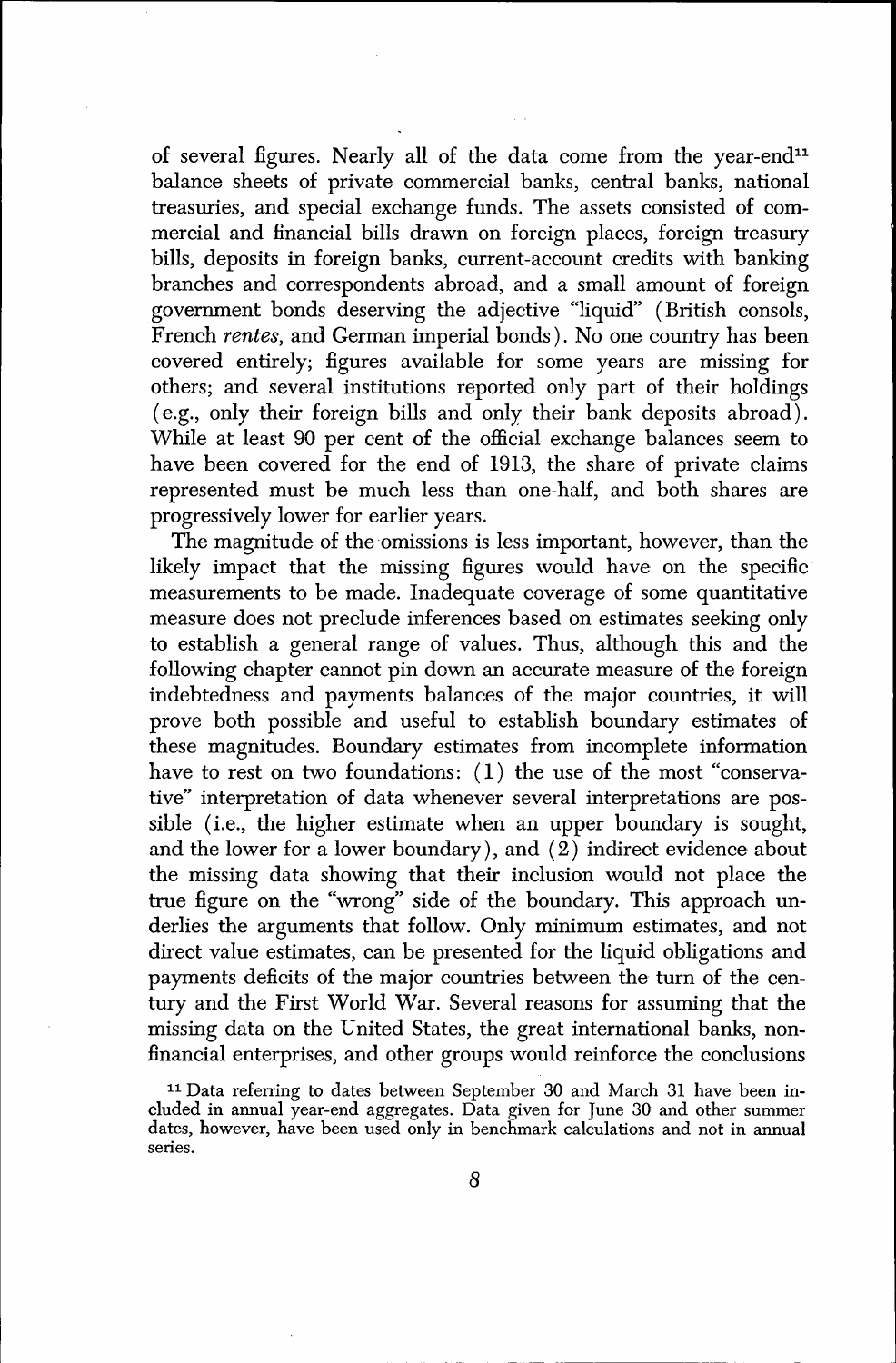of several figures. Nearly all of the data come from the year-end<sup>11</sup> balance sheets of private commercial banks, central banks, national treasuries, and special exchange funds. The assets consisted of commercial and financial bills drawn on foreign places, foreign treasury bills, deposits in foreign banks, current-account credits with banking branches and correspondents abroad, and a small amount of foreign government bonds deserving the adjective "liquid" (British consols, French rentes, and German imperial bonds). No one country has been covered entirely; figures available for some years are missing for others; and several institutions reported only part of their holdings ( e.g., only their foreign bills and only their bank deposits abroad). While at least 90 per cent of the official exchange balances seem to have been covered for the end of 1913, the share of private claims represented must be much less than one-half, and both shares are progressively lower for earlier years.

The magnitude of the omissions is less important, however, than the likely impact that the missing figures would have on the specific measurements to be made. Inadequate coverage of some quantitative measure does not preclude inferences based on estimates seeking only to establish a general range of values. Thus, although this and the following chapter cannot pin down an accurate measure of the foreign indebtedness and payments balances of the major countries, it will prove both possible and useful to establish boundary estimates of these magnitudes. Boundary estimates from incomplete information have to rest on two foundations: (1) the use of the most "conservative" interpretation of data whenever several interpretations are possible (i.e., the higher estimate when an upper boundary is sought, and the lower for a lower boundary), and  $(\hat{2})$  indirect evidence about the missing data showing that their inclusion would not place the true figure on the "wrong" side of the boundary. This approach underlies the arguments that follow. Only minimum estimates, and not direct value estimates, can be presented for the liquid obligations and payments deficits of the major countries between the turn of the century and the First World War. Several reasons for assuming that the missing data on the United States, the great international banks, nonfinancial enterprises, and other groups would reinforce the conclusions

<sup>11</sup> Data referring to dates between September 30 and March 31 have been included in annual year-end aggregates. Data given for June 30 and other summer dates, however, have been used only in benchmark calculations and not in annual series.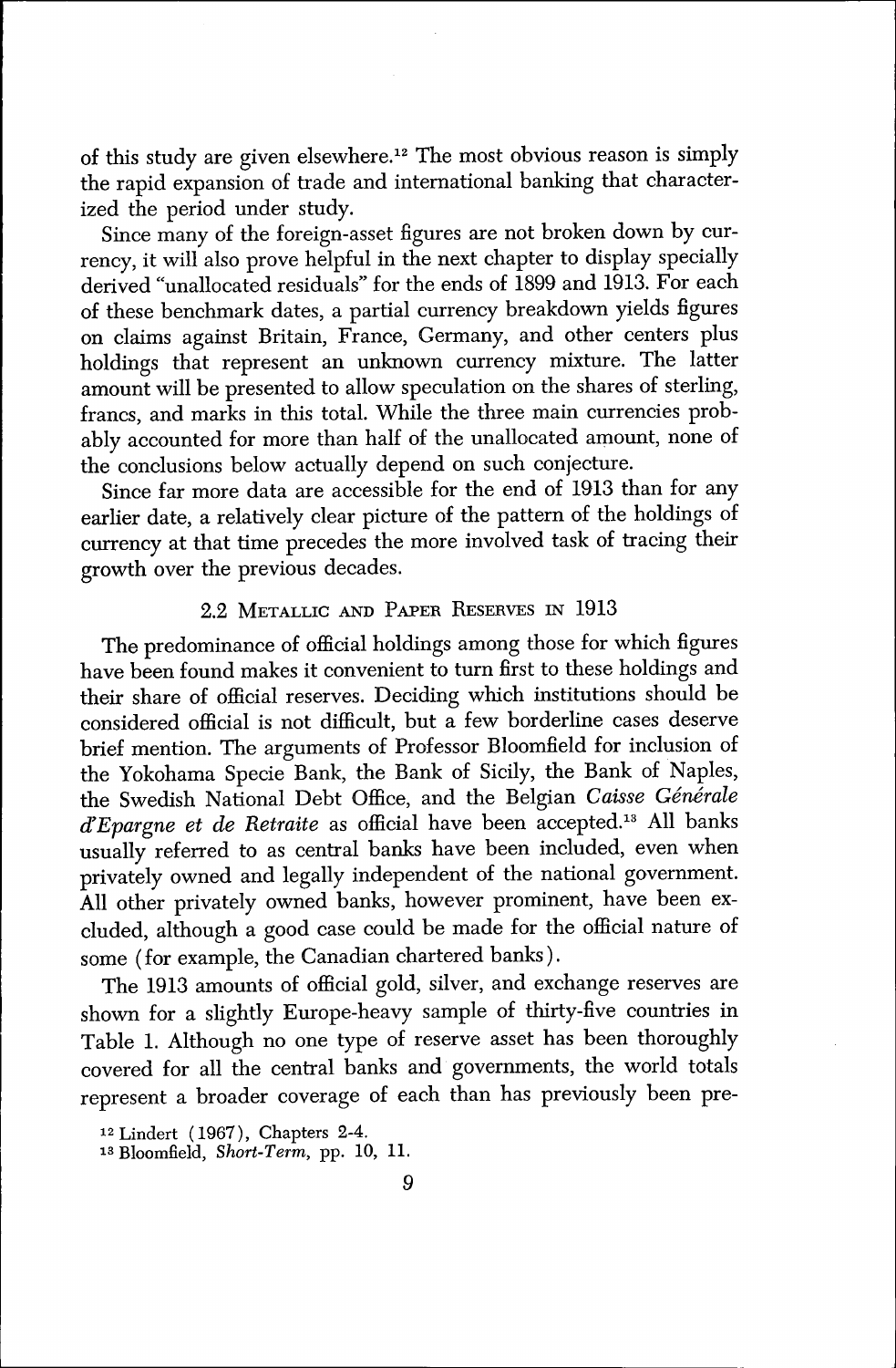of this study are given elsewhere.<sup>12</sup> The most obvious reason is simply the rapid expansion of trade and international banking that characterized the period under study.

Since many of the foreign-asset figures are not broken down by currency, it will also prove helpful in the next chapter to display specially derived "unallocated residuals" for the ends of 1899 and 1913. For each of these benchmark dates, a partial currency breakdown yields figures on claims against Britain, France, Germany, and other centers plus holdings that represent an unknown currency mixture. The latter amount will be presented to allow speculation on the shares of sterling, francs, and marks in this total. While the three main currencies probably accounted for more than half of the unallocated amount, none of the conclusions below actually depend on such conjecture.

Since far more data are accessible for the end of 1913 than for any earlier date, a relatively clear picture of the pattern of the holdings of currency at that time precedes the more involved task of tracing their growth over the previous decades.

### 2.2 METALLIC AND PAPER RESERVES IN 1913

The predominance of official holdings among those for which figures have been found makes it convenient to turn first to these holdings and their share of official reserves. Deciding which institutions should be considered official is not difficult, but a few borderline cases deserve brief mention. The arguments of Professor Bloomfield for inclusion of the Yokohama Specie Bank, the Bank of Sicily, the Bank of Naples, the Swedish National Debt Office, and the Belgian Caisse Générale  $d'Epargne et de Retraite as official have been accepted.<sup>13</sup> All banks$ usually referred to as central banks have been included, even when privately owned and legally independent of the national government. All other privately owned banks, however prominent, have been excluded, although a good case could be made for the official nature of some (for example, the Canadian chartered banks).

The 1913 amounts of official gold, silver, and exchange reserves are shown for a slightly Europe-heavy sample of thirty-five countries in Table 1. Although no one type of reserve asset has been thoroughly covered for all the central banks and governments, the world totals represent a broader coverage of each than has previously been pre-

<sup>12</sup> Lindert ( 1967 ), Chapters 2-4.

<sup>13</sup> Bloomfield, Short-Term, pp. 10, 11.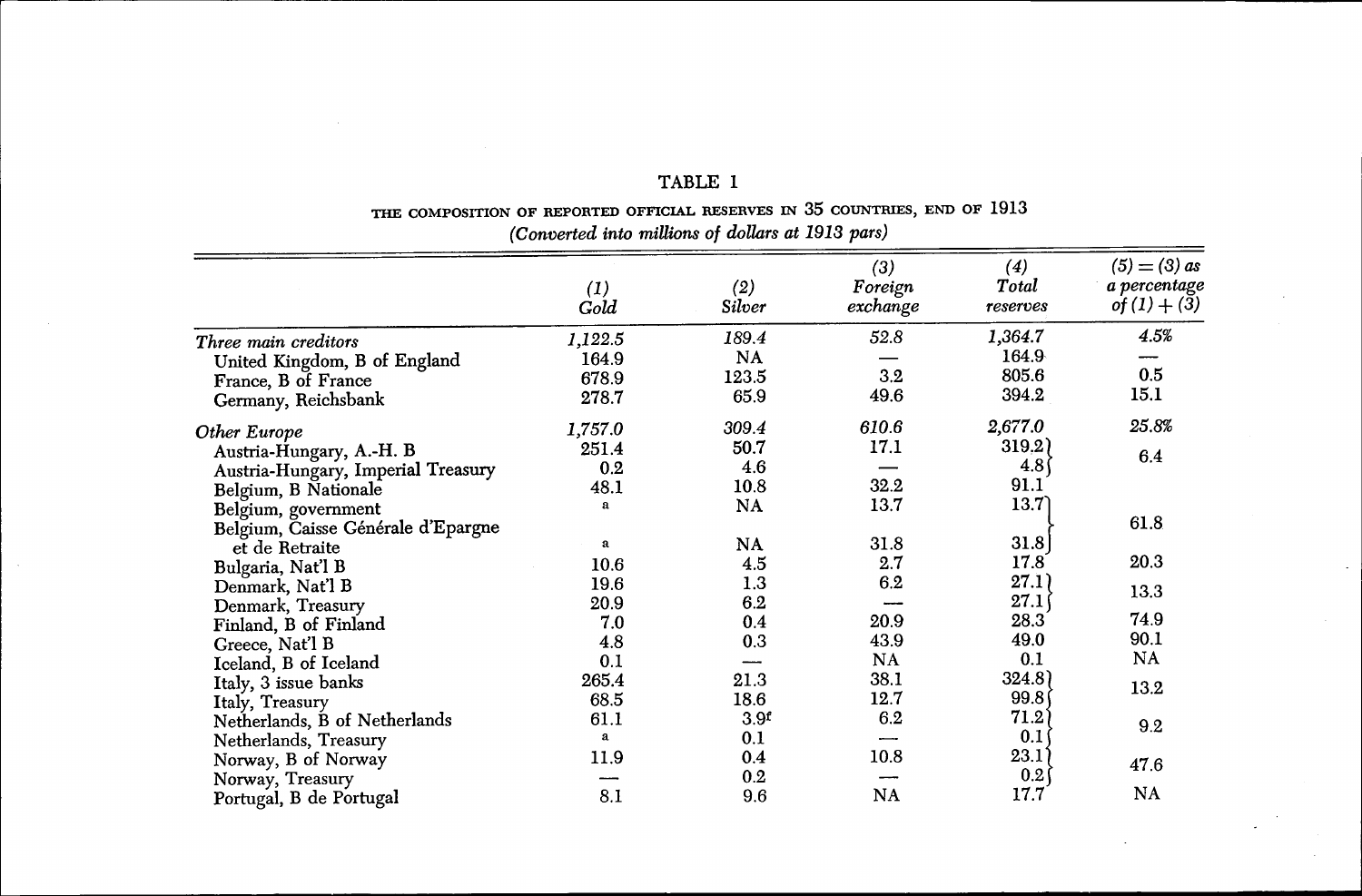|                                    | $\left(1\right)$<br>Gold | (2)<br>Silver    | (3)<br>Foreign<br>$\vec{exchange}$ | (4)<br>Total<br>reserves | $(5) = (3)$ as<br>a percentage<br>$of (1) + (3)$ |  |  |
|------------------------------------|--------------------------|------------------|------------------------------------|--------------------------|--------------------------------------------------|--|--|
| Three main creditors               | 1,122.5                  | 189.4            | 52.8                               | 1,364.7                  | 4.5%                                             |  |  |
| United Kingdom, B of England       | 164.9                    | NA               |                                    | 164.9                    |                                                  |  |  |
| France, B of France                | 678.9                    | 123.5            | 3.2                                | 805.6                    | 0.5                                              |  |  |
| Germany, Reichsbank                | 278.7                    | 65.9             | 49.6                               | 394.2                    | 15.1                                             |  |  |
| Other Europe                       | 1,757.0                  | 309.4            | 610.6                              | 2,677.0                  | 25.8%                                            |  |  |
| Austria-Hungary, A.-H. B           | 251.4                    | 50.7             | 17.1                               | 319,2)                   |                                                  |  |  |
| Austria-Hungary, Imperial Treasury | 0.2                      | 4.6              |                                    | 4.8 <sup>°</sup>         | 6.4                                              |  |  |
| Belgium, B Nationale               | 48.1                     | 10.8             | 32.2                               | 91.1                     |                                                  |  |  |
| Belgium, government                | a                        | NA               | 13.7                               | 13.7                     |                                                  |  |  |
| Belgium, Caisse Générale d'Epargne |                          |                  |                                    |                          | 61.8                                             |  |  |
| et de Retraite                     | a                        | NA               | 31.8                               | 31.8                     |                                                  |  |  |
| Bulgaria, Nat'l B                  | 10.6                     | 4.5              | 2.7                                | 17.8                     | 20.3                                             |  |  |
| Denmark, Nat'l B                   | 19.6                     | 1.3              | 6.2                                | 27.1                     |                                                  |  |  |
| Denmark, Treasury                  | 20.9                     | 6.2              |                                    | 27.1                     | 13.3                                             |  |  |
| Finland, B of Finland              | 7.0                      | 0.4              | 20.9                               | 28.3                     | 74.9                                             |  |  |
| Greece, Nat'l B                    | 4.8                      | 0.3              | 43.9                               | 49.0                     | 90.1                                             |  |  |
| Iceland, B of Iceland              | 0.1                      |                  | NA                                 | 0.1                      | NA                                               |  |  |
| Italy, 3 issue banks               | 265.4                    | 21.3             | 38.1                               | 324.8)                   |                                                  |  |  |
| Italy, Treasury                    | 68.5                     | 18.6             | 12.7                               | 99.8                     | 13.2                                             |  |  |
| Netherlands, B of Netherlands      | 61.1                     | 3.9 <sup>f</sup> | 6.2                                | 71.2                     |                                                  |  |  |
| Netherlands, Treasury              | $\bf{a}$                 | 0.1              |                                    | 0.1                      | 9.2                                              |  |  |
| Norway, B of Norway                | 11.9                     | 0.4              | 10.8                               | 23.1                     |                                                  |  |  |
| Norway, Treasury                   |                          | 0.2              |                                    | 0.2                      | 47.6                                             |  |  |
| Portugal, B de Portugal            | 8.1                      | 9.6              | NA                                 | 17.7                     | NA                                               |  |  |

 $\overline{\phantom{a}}$ 

# TABLE 1

#### THE COMPOSITION OF REPORTED OFFICIAL RESERVES IN 35 COUNTRIES, END OF 1913 (Converted into millions of dollars at 1913 pars)